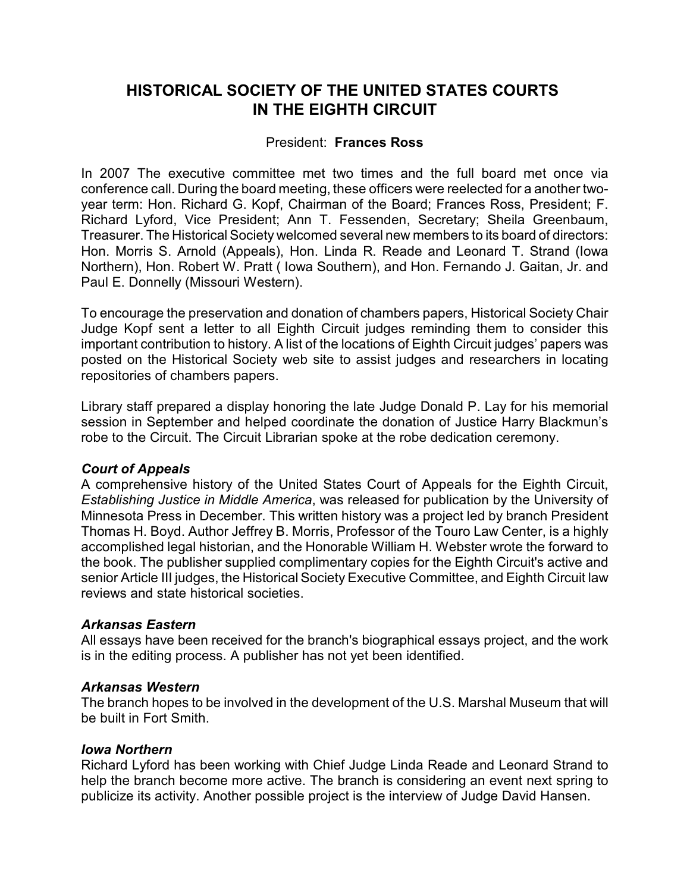# **HISTORICAL SOCIETY OF THE UNITED STATES COURTS IN THE EIGHTH CIRCUIT**

# President: **Frances Ross**

In 2007 The executive committee met two times and the full board met once via conference call. During the board meeting, these officers were reelected for a another twoyear term: Hon. Richard G. Kopf, Chairman of the Board; Frances Ross, President; F. Richard Lyford, Vice President; Ann T. Fessenden, Secretary; Sheila Greenbaum, Treasurer. The Historical Society welcomed several new members to its board of directors: Hon. Morris S. Arnold (Appeals), Hon. Linda R. Reade and Leonard T. Strand (Iowa Northern), Hon. Robert W. Pratt ( Iowa Southern), and Hon. Fernando J. Gaitan, Jr. and Paul E. Donnelly (Missouri Western).

To encourage the preservation and donation of chambers papers, Historical Society Chair Judge Kopf sent a letter to all Eighth Circuit judges reminding them to consider this important contribution to history. A list of the locations of Eighth Circuit judges' papers was posted on the Historical Society web site to assist judges and researchers in locating repositories of chambers papers.

Library staff prepared a display honoring the late Judge Donald P. Lay for his memorial session in September and helped coordinate the donation of Justice Harry Blackmun's robe to the Circuit. The Circuit Librarian spoke at the robe dedication ceremony.

# *Court of Appeals*

A comprehensive history of the United States Court of Appeals for the Eighth Circuit, *Establishing Justice in Middle America*, was released for publication by the University of Minnesota Press in December. This written history was a project led by branch President Thomas H. Boyd. Author Jeffrey B. Morris, Professor of the Touro Law Center, is a highly accomplished legal historian, and the Honorable William H. Webster wrote the forward to the book. The publisher supplied complimentary copies for the Eighth Circuit's active and senior Article III judges, the Historical Society Executive Committee, and Eighth Circuit law reviews and state historical societies.

# *Arkansas Eastern*

All essays have been received for the branch's biographical essays project, and the work is in the editing process. A publisher has not yet been identified.

# *Arkansas Western*

The branch hopes to be involved in the development of the U.S. Marshal Museum that will be built in Fort Smith.

## *Iowa Northern*

Richard Lyford has been working with Chief Judge Linda Reade and Leonard Strand to help the branch become more active. The branch is considering an event next spring to publicize its activity. Another possible project is the interview of Judge David Hansen.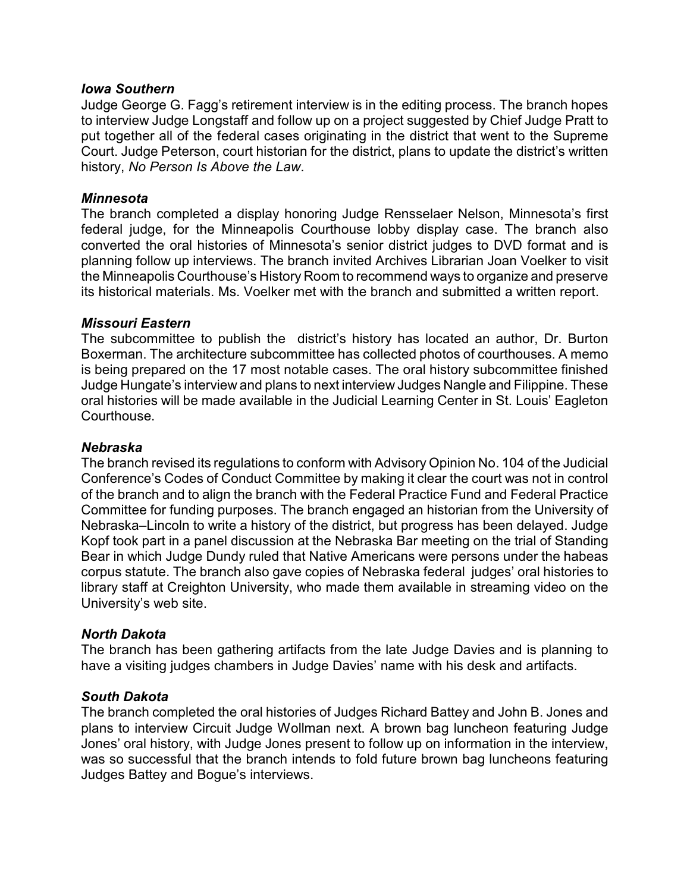## *Iowa Southern*

Judge George G. Fagg's retirement interview is in the editing process. The branch hopes to interview Judge Longstaff and follow up on a project suggested by Chief Judge Pratt to put together all of the federal cases originating in the district that went to the Supreme Court. Judge Peterson, court historian for the district, plans to update the district's written history, *No Person Is Above the Law*.

## *Minnesota*

The branch completed a display honoring Judge Rensselaer Nelson, Minnesota's first federal judge, for the Minneapolis Courthouse lobby display case. The branch also converted the oral histories of Minnesota's senior district judges to DVD format and is planning follow up interviews. The branch invited Archives Librarian Joan Voelker to visit the Minneapolis Courthouse's History Room to recommend ways to organize and preserve its historical materials. Ms. Voelker met with the branch and submitted a written report.

#### *Missouri Eastern*

The subcommittee to publish the district's history has located an author, Dr. Burton Boxerman. The architecture subcommittee has collected photos of courthouses. A memo is being prepared on the 17 most notable cases. The oral history subcommittee finished Judge Hungate's interview and plans to next interview Judges Nangle and Filippine. These oral histories will be made available in the Judicial Learning Center in St. Louis' Eagleton Courthouse.

#### *Nebraska*

The branch revised its regulations to conform with Advisory Opinion No. 104 of the Judicial Conference's Codes of Conduct Committee by making it clear the court was not in control of the branch and to align the branch with the Federal Practice Fund and Federal Practice Committee for funding purposes. The branch engaged an historian from the University of Nebraska–Lincoln to write a history of the district, but progress has been delayed. Judge Kopf took part in a panel discussion at the Nebraska Bar meeting on the trial of Standing Bear in which Judge Dundy ruled that Native Americans were persons under the habeas corpus statute. The branch also gave copies of Nebraska federal judges' oral histories to library staff at Creighton University, who made them available in streaming video on the University's web site.

## *North Dakota*

The branch has been gathering artifacts from the late Judge Davies and is planning to have a visiting judges chambers in Judge Davies' name with his desk and artifacts.

## *South Dakota*

The branch completed the oral histories of Judges Richard Battey and John B. Jones and plans to interview Circuit Judge Wollman next. A brown bag luncheon featuring Judge Jones' oral history, with Judge Jones present to follow up on information in the interview, was so successful that the branch intends to fold future brown bag luncheons featuring Judges Battey and Bogue's interviews.